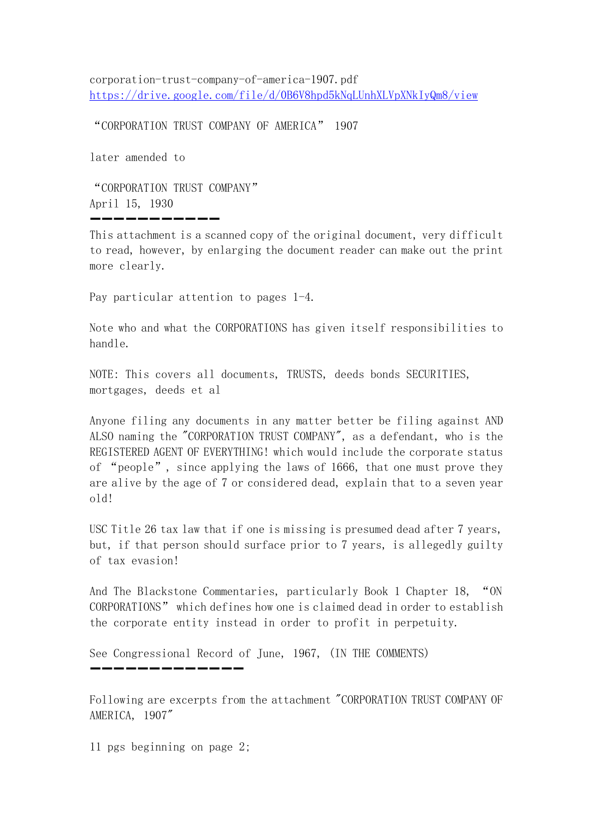corporation-trust-company-of-america-1907.pdf <https://drive.google.com/file/d/0B6V8hpd5kNqLUnhXLVpXNkIyQm8/view>

"CORPORATION TRUST COMPANY OF AMERICA" 1907

later amended to

"CORPORATION TRUST COMPANY" April 15, 1930

This attachment is a scanned copy of the original document, very difficult to read, however, by enlarging the document reader can make out the print more clearly.

➖➖➖➖➖➖➖➖➖➖➖

Pay particular attention to pages 1-4.

Note who and what the CORPORATIONS has given itself responsibilities to handle.

NOTE: This covers all documents, TRUSTS, deeds bonds SECURITIES, mortgages, deeds et al

Anyone filing any documents in any matter better be filing against AND ALSO naming the "CORPORATION TRUST COMPANY", as a defendant, who is the REGISTERED AGENT OF EVERYTHING! which would include the corporate status of "people", since applying the laws of 1666, that one must prove they are alive by the age of 7 or considered dead, explain that to a seven year old!

USC Title 26 tax law that if one is missing is presumed dead after 7 years, but, if that person should surface prior to 7 years, is allegedly guilty of tax evasion!

And The Blackstone Commentaries, particularly Book 1 Chapter 18, "ON CORPORATIONS" which defines how one is claimed dead in order to establish the corporate entity instead in order to profit in perpetuity.

See Congressional Record of June, 1967, (IN THE COMMENTS)

Following are excerpts from the attachment "CORPORATION TRUST COMPANY OF AMERICA, 1907"

</u>

11 pgs beginning on page 2;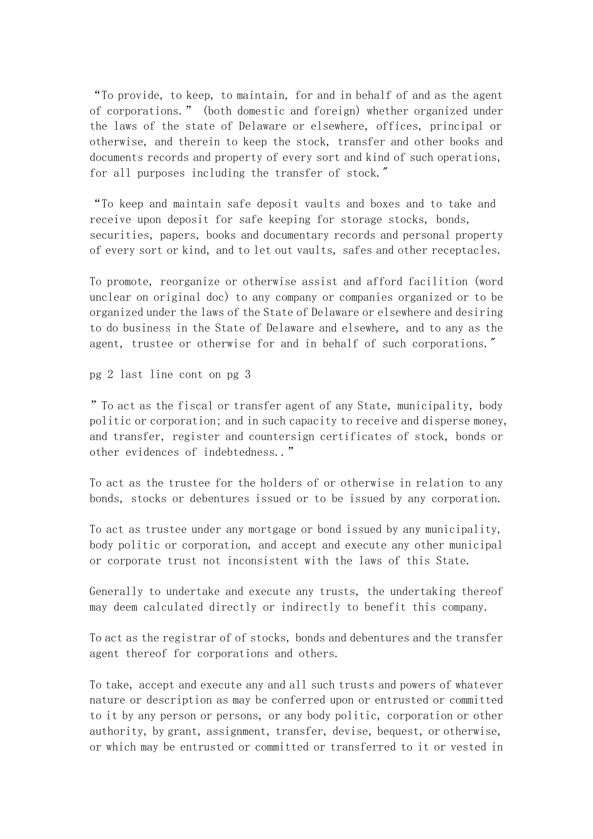"To provide, to keep, to maintain, for and in behalf of and as the agent of corporations." (both domestic and foreign) whether organized under the laws of the state of Delaware or elsewhere, offices, principal or otherwise, and therein to keep the stock, transfer and other books and documents records and property of every sort and kind of such operations, for all purposes including the transfer of stock."

"To keep and maintain safe deposit vaults and boxes and to take and receive upon deposit for safe keeping for storage stocks, bonds, securities, papers, books and documentary records and personal property of every sort or kind, and to let out vaults, safes and other receptacles.

To promote, reorganize or otherwise assist and afford facilition (word unclear on original doc) to any company or companies organized or to be organized under the laws of the State of Delaware or elsewhere and desiring to do business in the State of Delaware and elsewhere, and to any as the agent, trustee or otherwise for and in behalf of such corporations."

pg 2 last line cont on pg 3

"To act as the fiscal or transfer agent of any State, municipality, body politic or corporation; and in such capacity to receive and disperse money, and transfer, register and countersign certificates of stock, bonds or other evidences of indebtedness.."

To act as the trustee for the holders of or otherwise in relation to any bonds, stocks or debentures issued or to be issued by any corporation.

To act as trustee under any mortgage or bond issued by any municipality, body politic or corporation, and accept and execute any other municipal or corporate trust not inconsistent with the laws of this State.

Generally to undertake and execute any trusts, the undertaking thereof may deem calculated directly or indirectly to benefit this company.

To act as the registrar of of stocks, bonds and debentures and the transfer agent thereof for corporations and others.

To take, accept and execute any and all such trusts and powers of whatever nature or description as may be conferred upon or entrusted or committed to it by any person or persons, or any body politic, corporation or other authority, by grant, assignment, transfer, devise, bequest, or otherwise, or which may be entrusted or committed or transferred to it or vested in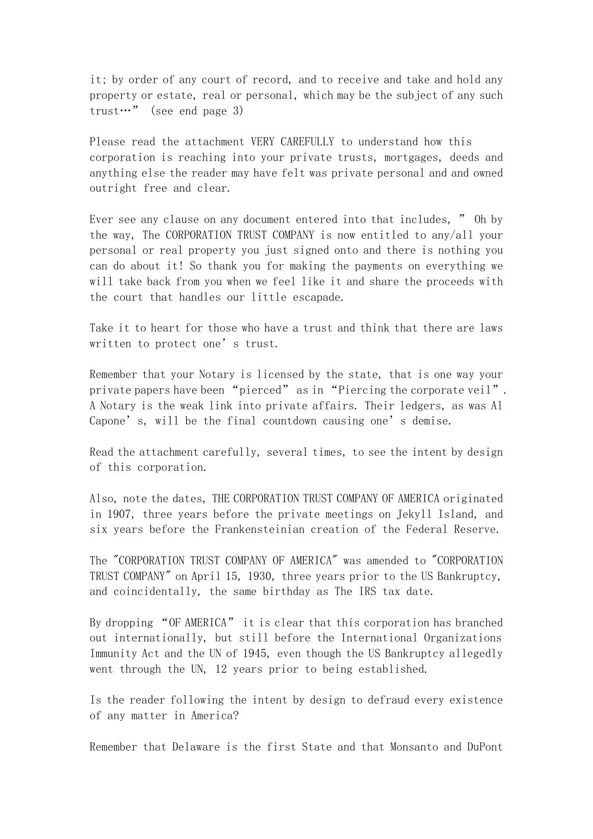it; by order of any court of record, and to receive and take and hold any property or estate, real or personal, which may be the subject of any such trust…" (see end page 3)

Please read the attachment VERY CAREFULLY to understand how this corporation is reaching into your private trusts, mortgages, deeds and anything else the reader may have felt was private personal and and owned outright free and clear.

Ever see any clause on any document entered into that includes, " Oh by the way, The CORPORATION TRUST COMPANY is now entitled to any/all your personal or real property you just signed onto and there is nothing you can do about it! So thank you for making the payments on everything we will take back from you when we feel like it and share the proceeds with the court that handles our little escapade.

Take it to heart for those who have a trust and think that there are laws written to protect one's trust.

Remember that your Notary is licensed by the state, that is one way your private papers have been "pierced" as in "Piercing the corporate veil". A Notary is the weak link into private affairs. Their ledgers, as was Al Capone's, will be the final countdown causing one's demise.

Read the attachment carefully, several times, to see the intent by design of this corporation.

Also, note the dates, THE CORPORATION TRUST COMPANY OF AMERICA originated in 1907, three years before the private meetings on Jekyll Island, and six years before the Frankensteinian creation of the Federal Reserve.

The "CORPORATION TRUST COMPANY OF AMERICA" was amended to "CORPORATION TRUST COMPANY" on April 15, 1930, three years prior to the US Bankruptcy, and coincidentally, the same birthday as The IRS tax date.

By dropping "OF AMERICA" it is clear that this corporation has branched out internationally, but still before the International Organizations Immunity Act and the UN of 1945, even though the US Bankruptcy allegedly went through the UN, 12 years prior to being established.

Is the reader following the intent by design to defraud every existence of any matter in America?

Remember that Delaware is the first State and that Monsanto and DuPont